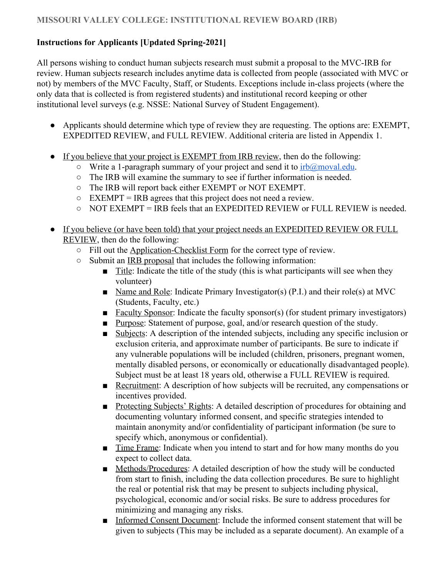#### **Instructions for Applicants [Updated Spring-2021]**

All persons wishing to conduct human subjects research must submit a proposal to the MVC-IRB for review. Human subjects research includes anytime data is collected from people (associated with MVC or not) by members of the MVC Faculty, Staff, or Students. Exceptions include in-class projects (where the only data that is collected is from registered students) and institutional record keeping or other institutional level surveys (e.g. NSSE: National Survey of Student Engagement).

- Applicants should determine which type of review they are requesting. The options are: EXEMPT, EXPEDITED REVIEW, and FULL REVIEW. Additional criteria are listed in Appendix 1.
- If you believe that your project is EXEMPT from IRB review, then do the following:
	- $\circ$  Write a 1-paragraph summary of your project and send it to  $irb@moval.edu$ .
	- The IRB will examine the summary to see if further information is needed.
	- The IRB will report back either EXEMPT or NOT EXEMPT.
	- $\circ$  EXEMPT = IRB agrees that this project does not need a review.
	- NOT EXEMPT = IRB feels that an EXPEDITED REVIEW or FULL REVIEW is needed.
- If you believe (or have been told) that your project needs an EXPEDITED REVIEW OR FULL REVIEW, then do the following:
	- Fill out the Application-Checklist Form for the correct type of review.
	- Submit an IRB proposal that includes the following information:
		- Title: Indicate the title of the study (this is what participants will see when they volunteer)
		- Name and Role: Indicate Primary Investigator(s) (P.I.) and their role(s) at MVC (Students, Faculty, etc.)
		- Faculty Sponsor: Indicate the faculty sponsor(s) (for student primary investigators)
		- Purpose: Statement of purpose, goal, and/or research question of the study.
		- Subjects: A description of the intended subjects, including any specific inclusion or exclusion criteria, and approximate number of participants. Be sure to indicate if any vulnerable populations will be included (children, prisoners, pregnant women, mentally disabled persons, or economically or educationally disadvantaged people). Subject must be at least 18 years old, otherwise a FULL REVIEW is required.
		- Recruitment: A description of how subjects will be recruited, any compensations or incentives provided.
		- Protecting Subjects' Rights: A detailed description of procedures for obtaining and documenting voluntary informed consent, and specific strategies intended to maintain anonymity and/or confidentiality of participant information (be sure to specify which, anonymous or confidential).
		- Time Frame: Indicate when you intend to start and for how many months do you expect to collect data.
		- Methods/Procedures: A detailed description of how the study will be conducted from start to finish, including the data collection procedures. Be sure to highlight the real or potential risk that may be present to subjects including physical, psychological, economic and/or social risks. Be sure to address procedures for minimizing and managing any risks.
		- Informed Consent Document: Include the informed consent statement that will be given to subjects (This may be included as a separate document). An example of a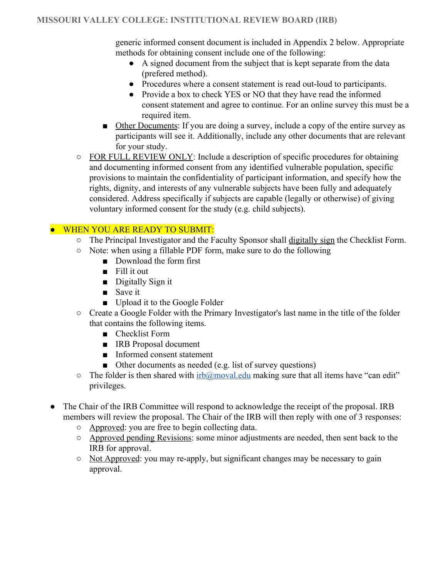generic informed consent document is included in Appendix 2 below. Appropriate methods for obtaining consent include one of the following:

- A signed document from the subject that is kept separate from the data (prefered method).
- Procedures where a consent statement is read out-loud to participants.
- Provide a box to check YES or NO that they have read the informed consent statement and agree to continue. For an online survey this must be a required item.
- Other Documents: If you are doing a survey, include a copy of the entire survey as participants will see it. Additionally, include any other documents that are relevant for your study.
- FOR FULL REVIEW ONLY: Include a description of specific procedures for obtaining and documenting informed consent from any identified vulnerable population, specific provisions to maintain the confidentiality of participant information, and specify how the rights, dignity, and interests of any vulnerable subjects have been fully and adequately considered. Address specifically if subjects are capable (legally or otherwise) of giving voluntary informed consent for the study (e.g. child subjects).

#### **.** WHEN YOU ARE READY TO SUBMIT:

- The Principal Investigator and the Faculty Sponsor shall digitally sign the Checklist Form.
- Note: when using a fillable PDF form, make sure to do the following
	- Download the form first
	- Fill it out
	- Digitally Sign it
	- Save it
	- Upload it to the Google Folder
- Create a Google Folder with the Primary Investigator's last name in the title of the folder that contains the following items.
	- Checklist Form
	- IRB Proposal document
	- Informed consent statement
	- Other documents as needed (e.g. list of survey questions)
- $\circ$  The folder is then shared with [irb@moval.edu](mailto:irb@moval.edu) making sure that all items have "can edit" privileges.
- The Chair of the IRB Committee will respond to acknowledge the receipt of the proposal. IRB members will review the proposal. The Chair of the IRB will then reply with one of 3 responses:
	- Approved: you are free to begin collecting data.
	- Approved pending Revisions: some minor adjustments are needed, then sent back to the IRB for approval.
	- Not Approved: you may re-apply, but significant changes may be necessary to gain approval.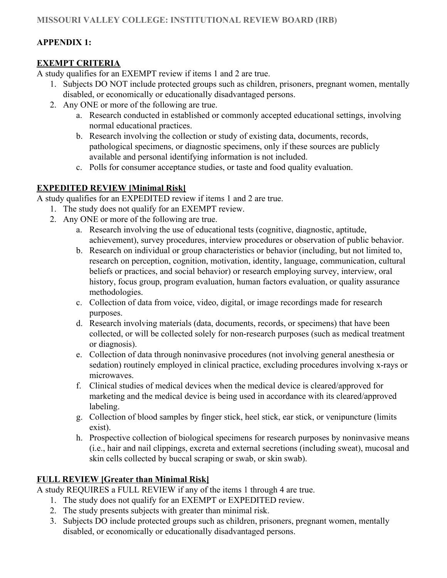## **APPENDIX 1:**

## **EXEMPT CRITERIA**

A study qualifies for an EXEMPT review if items 1 and 2 are true.

- 1. Subjects DO NOT include protected groups such as children, prisoners, pregnant women, mentally disabled, or economically or educationally disadvantaged persons.
- 2. Any ONE or more of the following are true.
	- a. Research conducted in established or commonly accepted educational settings, involving normal educational practices.
	- b. Research involving the collection or study of existing data, documents, records, pathological specimens, or diagnostic specimens, only if these sources are publicly available and personal identifying information is not included.
	- c. Polls for consumer acceptance studies, or taste and food quality evaluation.

## **EXPEDITED REVIEW [Minimal Risk]**

A study qualifies for an EXPEDITED review if items 1 and 2 are true.

- 1. The study does not qualify for an EXEMPT review.
- 2. Any ONE or more of the following are true.
	- a. Research involving the use of educational tests (cognitive, diagnostic, aptitude, achievement), survey procedures, interview procedures or observation of public behavior.
	- b. Research on individual or group characteristics or behavior (including, but not limited to, research on perception, cognition, motivation, identity, language, communication, cultural beliefs or practices, and social behavior) or research employing survey, interview, oral history, focus group, program evaluation, human factors evaluation, or quality assurance methodologies.
	- c. Collection of data from voice, video, digital, or image recordings made for research purposes.
	- d. Research involving materials (data, documents, records, or specimens) that have been collected, or will be collected solely for non-research purposes (such as medical treatment or diagnosis).
	- e. Collection of data through noninvasive procedures (not involving general anesthesia or sedation) routinely employed in clinical practice, excluding procedures involving x-rays or microwaves.
	- f. Clinical studies of medical devices when the medical device is cleared/approved for marketing and the medical device is being used in accordance with its cleared/approved labeling.
	- g. Collection of blood samples by finger stick, heel stick, ear stick, or venipuncture (limits exist).
	- h. Prospective collection of biological specimens for research purposes by noninvasive means (i.e., hair and nail clippings, excreta and external secretions (including sweat), mucosal and skin cells collected by buccal scraping or swab, or skin swab).

# **FULL REVIEW [Greater than Minimal Risk]**

A study REQUIRES a FULL REVIEW if any of the items 1 through 4 are true.

- 1. The study does not qualify for an EXEMPT or EXPEDITED review.
- 2. The study presents subjects with greater than minimal risk.
- 3. Subjects DO include protected groups such as children, prisoners, pregnant women, mentally disabled, or economically or educationally disadvantaged persons.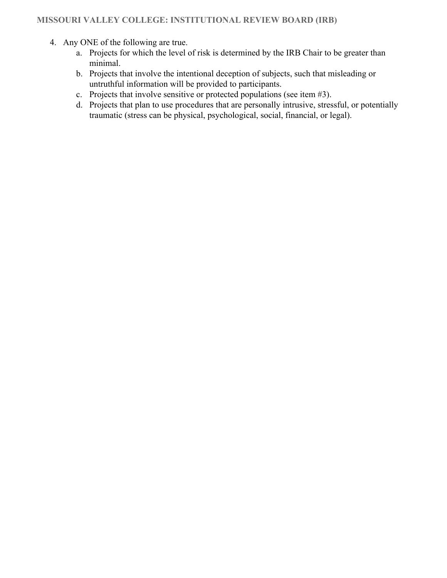- 4. Any ONE of the following are true.
	- a. Projects for which the level of risk is determined by the IRB Chair to be greater than minimal.
	- b. Projects that involve the intentional deception of subjects, such that misleading or untruthful information will be provided to participants.
	- c. Projects that involve sensitive or protected populations (see item #3).
	- d. Projects that plan to use procedures that are personally intrusive, stressful, or potentially traumatic (stress can be physical, psychological, social, financial, or legal).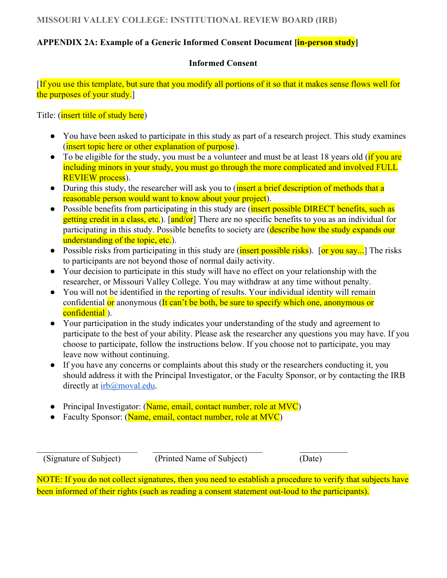### **APPENDIX 2A: Example of a Generic Informed Consent Document [in-person study]**

#### **Informed Consent**

[If you use this template, but sure that you modify all portions of it so that it makes sense flows well for the purposes of your study.]

Title: (*insert title of study here*)

- You have been asked to participate in this study as part of a research project. This study examines (insert topic here or other explanation of purpose).
- To be eligible for the study, you must be a volunteer and must be at least 18 years old ( $\frac{1}{11}$  you are including minors in your study, you must go through the more complicated and involved FULL REVIEW process).
- During this study, the researcher will ask you to (insert a brief description of methods that a reasonable person would want to know about your project).
- Possible benefits from participating in this study are (*insert possible DIRECT benefits, such as* getting credit in a class, etc.). [and/or] There are no specific benefits to you as an individual for participating in this study. Possible benefits to society are (describe how the study expands our understanding of the topic, etc.).
- Possible risks from participating in this study are (insert possible risks). [or you say...] The risks to participants are not beyond those of normal daily activity.
- Your decision to participate in this study will have no effect on your relationship with the researcher, or Missouri Valley College. You may withdraw at any time without penalty.
- You will not be identified in the reporting of results. Your individual identity will remain confidential or anonymous (It can't be both, be sure to specify which one, anonymous or confidential).
- Your participation in the study indicates your understanding of the study and agreement to participate to the best of your ability. Please ask the researcher any questions you may have. If you choose to participate, follow the instructions below. If you choose not to participate, you may leave now without continuing.
- If you have any concerns or complaints about this study or the researchers conducting it, you should address it with the Principal Investigator, or the Faculty Sponsor, or by contacting the IRB directly at [irb@moval.edu](mailto:irb@moval.edu).
- Principal Investigator: (Name, email, contact number, role at MVC)
- Faculty Sponsor: (Name, email, contact number, role at MVC)

(Signature of Subject) (Printed Name of Subject) (Date)

 $\_$  , and the set of the set of the set of the set of the set of the set of the set of the set of the set of the set of the set of the set of the set of the set of the set of the set of the set of the set of the set of th

NOTE: If you do not collect signatures, then you need to establish a procedure to verify that subjects have been informed of their rights (such as reading a consent statement out-loud to the participants).